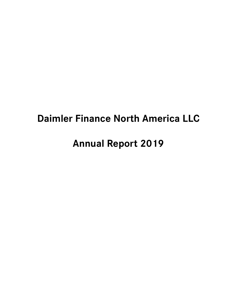# **Daimler Finance North America LLC**

# **Annual Report 2019**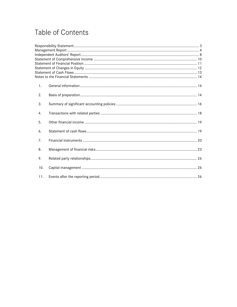# Table of Contents

| 1.  |  |
|-----|--|
| 2.  |  |
| 3.  |  |
| 4.  |  |
| 5.  |  |
| 6.  |  |
| 7.  |  |
| 8.  |  |
| 9.  |  |
| 10. |  |
| 11. |  |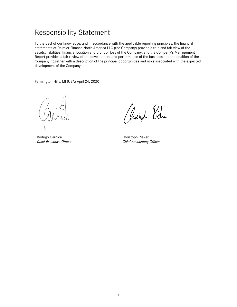# <span id="page-2-0"></span>Responsibility Statement

To the best of our knowledge, and in accordance with the applicable reporting principles, the financial statements of Daimler Finance North America LLC (the Company) provide a true and fair view of the assets, liabilities, financial position and profit or loss of the Company, and the Company's Management Report provides a fair review of the development and performance of the business and the position of the Company, together with a description of the principal opportunities and risks associated with the expected development of the Company.

Farmington Hills, MI (USA) April 24, 2020

Rodrigo Garnica *Chief Executive Officer*

Rendopt Piele

Christoph Rieker *Chief Accounting Officer*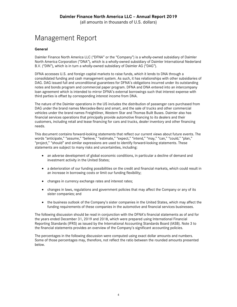(all amounts in thousands of U.S. dollars)

# <span id="page-3-0"></span>Management Report

#### **General**

Daimler Finance North America LLC ("DFNA" or the "Company") is a wholly-owned subsidiary of Daimler North America Corporation ("DNA"), which is a wholly-owned subsidiary of Daimler International Nederland B.V. ("DIN"), which is in turn a wholly-owned subsidiary of Daimler AG ("DAG").

DFNA accesses U.S. and foreign capital markets to raise funds, which it lends to DNA through a consolidated funding and cash management system. As such, it has relationships with other subsidiaries of DAG. DAG issued full and unconditional guarantees for DFNA's obligations incurred under its outstanding notes and bonds program and commercial paper program. DFNA and DNA entered into an intercompany loan agreement which is intended to mirror DFNA's external borrowings such that interest expense with third parties is offset by corresponding interest income from DNA.

The nature of the Daimler operations in the US includes the distribution of passenger cars purchased from DAG under the brand names Mercedes-Benz and smart, and the sale of trucks and other commercial vehicles under the brand names Freightliner, Western Star and Thomas Built Buses. Daimler also has financial services operations that principally provide automotive financing to its dealers and their customers, including retail and lease financing for cars and trucks, dealer inventory and other financing needs.

This document contains forward-looking statements that reflect our current views about future events. The words "anticipate," "assume," "believe," "estimate," "expect," "intend," "may," "can," "could," "plan," "project," "should" and similar expressions are used to identify forward-looking statements. These statements are subject to many risks and uncertainties, including:

- an adverse development of global economic conditions, in particular a decline of demand and investment activity in the United States;
- a deterioration of our funding possibilities on the credit and financial markets, which could result in an increase in borrowing costs or limit our funding flexibility;
- changes in currency exchange rates and interest rates;
- changes in laws, regulations and government policies that may affect the Company or any of its sister companies; and
- the business outlook of the Company's sister companies in the United States, which may affect the funding requirements of these companies in the automotive and financial services businesses.

The following discussion should be read in conjunction with the DFNA's financial statements as of and for the years ended December 31, 2019 and 2018, which were prepared using International Financial Reporting Standards (IFRS) as issued by the International Accounting Standards Board (IASB). Note 3 to the financial statements provides an overview of the Company's significant accounting policies.

The percentages in the following discussion were computed using exact dollar amounts and numbers. Some of those percentages may, therefore, not reflect the ratio between the rounded amounts presented below.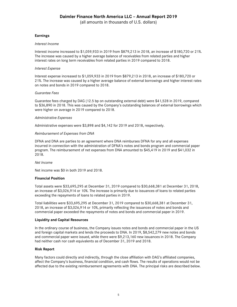(all amounts in thousands of U.S. dollars)

#### **Earnings**

#### *Interest Income*

Interest income increased to \$1,059,933 in 2019 from \$879,213 in 2018, an increase of \$180,720 or 21%. The increase was caused by a higher average balance of receivables from related parties and higher interest rates on long term receivables from related parties in 2019 compared to 2018.

#### *Interest Expense*

Interest expense increased to \$1,059,933 in 2019 from \$879,213 in 2018, an increase of \$180,720 or 21%. The increase was caused by a higher average balance of external borrowings and higher interest rates on notes and bonds in 2019 compared to 2018.

#### *Guarantee Fees*

Guarantee fees charged by DAG (12.5 bp on outstanding external debt) were \$41,528 in 2019, compared to \$36,890 in 2018. This was caused by the Company's outstanding balances of external borrowings which were higher on average in 2019 compared to 2018.

#### *Administrative Expenses*

Administrative expenses were \$3,898 and \$4,142 for 2019 and 2018, respectively.

#### *Reimbursement of Expenses from DNA*

DFNA and DNA are parties to an agreement where DNA reimburses DFNA for any and all expenses incurred in connection with the administration of DFNA's notes and bonds program and commercial paper program. The reimbursement of net expenses from DNA amounted to \$45,419 in 2019 and \$41,032 in 2018.

#### *Net Income*

Net income was \$0 in both 2019 and 2018.

#### **Financial Position**

Total assets were \$33,695,295 at December 31, 2019 compared to \$30,668,381 at December 31, 2018, an increase of \$3,026,914 or 10%. The increase is primarily due to issuances of loans to related parties exceeding the repayments of loans to related parties in 2019.

Total liabilities were \$33,695,295 at December 31, 2019 compared to \$30,668,381 at December 31, 2018, an increase of \$3,026,914 or 10%, primarily reflecting the issuances of notes and bonds and commercial paper exceeded the repayments of notes and bonds and commercial paper in 2019.

#### **Liquidity and Capital Resources**

In the ordinary course of business, the Company issues notes and bonds and commercial paper in the US and foreign capital markets and lends the proceeds to DNA. In 2019, \$8,542,279 new notes and bonds and commercial paper were issued, while there were \$9,213,160 new issuances in 2018. The Company had neither cash nor cash equivalents as of December 31, 2019 and 2018.

#### **Risk Report**

Many factors could directly and indirectly, through the close affiliation with DAG's affiliated companies, affect the Company's business, financial condition, and cash flows. The results of operations would not be affected due to the existing reimbursement agreements with DNA. The principal risks are described below.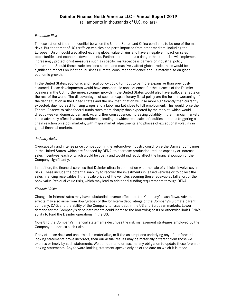(all amounts in thousands of U.S. dollars)

#### *Economic Risk*

The escalation of the trade conflict between the United States and China continues to be one of the main risks. But the threat of US tariffs on vehicles and parts imported from other markets, including the European Union, could also affect existing global value chains and have a negative impact on sales opportunities and economic developments. Furthermore, there is a danger that countries will implement increasingly protectionist measures such as specific market-access barriers or industrial policy instruments. Should these trade tensions spread and massively affect global trade, there would be significant impacts on inflation, business climate, consumer confidence and ultimately also on global economic growth.

In the United States, economic and fiscal policy could turn out to be more expansive than previously assumed. These developments would have considerable consequences for the success of the Daimler business in the US. Furthermore, stronger growth in the United States would also have spillover effects on the rest of the world. The disadvantages of such an expansionary fiscal policy are the further worsening of the debt situation in the United States and the risk that inflation will rise more significantly than currently expected, due not least to rising wages and a labor market close to full employment. This would force the Federal Reserve to raise federal funds rates more sharply than expected by the market, which would directly weaken domestic demand. As a further consequence, increasing volatility in the financial markets could adversely affect investor confidence, leading to widespread sales of equities and thus triggering a chain reaction on stock markets, with major market adjustments and phases of exceptional volatility in global financial markets.

#### *Industry Risks*

Overcapacity and intense price competition in the automotive industry could force the Daimler companies in the United States, which are financed by DFNA, to decrease production, reduce capacity or increase sales incentives, each of which would be costly and would indirectly affect the financial position of the Company significantly.

In addition, the financial services that Daimler offers in connection with the sale of vehicles involve several risks. These include the potential inability to recover the investments in leased vehicles or to collect the sales financing receivables if the resale prices of the vehicles securing these receivables fall short of their book value (residual value risk), which may lead to additional funding requirements through DFNA.

#### *Financial Risks*

Changes in interest rates may have substantial adverse effects on the Company's cash flows. Adverse effects may also arise from downgrades of the long-term debt ratings of the Company's ultimate parent company, DAG, and the ability of the Company to issue debt in the US and European markets. Lower demand for the Company's debt instruments could increase the borrowing costs or otherwise limit DFNA's ability to fund the Daimler operations in the US.

Note 8 to the Company's financial statements describes the risk management strategies employed by the Company to address such risks.

If any of these risks and uncertainties materialize, or if the assumptions underlying any of our forwardlooking statements prove incorrect, then our actual results may be materially different from those we express or imply by such statements. We do not intend or assume any obligation to update these forwardlooking statements. Any forward looking statement speaks only as of the date on which it is made.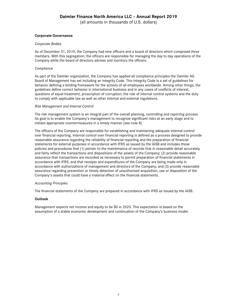(all amounts in thousands of U.S. dollars)

#### **Corporate Governance**

#### *Corporate Bodies*

As of December 31, 2019, the Company had nine officers and a board of directors which comprised three members. With this segregation, the officers are responsible for managing the day to day operations of the Company while the board of directors advises and monitors the officers.

#### *Compliance*

As part of the Daimler organization, the Company has applied all compliance principles the Daimler AG Board of Management has set including an Integrity Code. This Integrity Code is a set of guidelines for behavior defining a binding framework for the actions of all employees worldwide. Among other things, the guidelines define correct behavior in international business and in any cases of conflicts of interest, questions of equal treatment, proscription of corruption, the role of internal control systems and the duty to comply with applicable law as well as other internal and external regulations.

#### *Risk Management and Internal Control*

The risk management system is an integral part of the overall planning, controlling and reporting process. Its goal is to enable the Company's management to recognize significant risks at an early stage and to initiate appropriate countermeasures in a timely manner (see note 8).

The officers of the Company are responsible for establishing and maintaining adequate internal control over financial reporting. Internal control over financial reporting is defined as a process designed to provide reasonable assurance regarding the reliability of financial reporting and the preparation of financial statements for external purposes in accordance with IFRS as issued by the IASB and includes those policies and procedures that (1) pertain to the maintenance of records that in reasonable detail accurately and fairly reflect the transactions and dispositions of the assets of the Company; (2) provide reasonable assurance that transactions are recorded as necessary to permit preparation of financial statements in accordance with IFRS, and that receipts and expenditures of the Company are being made only in accordance with authorizations of management and directors of the Company; and (3) provide reasonable assurance regarding prevention or timely detection of unauthorized acquisition, use or disposition of the Company's assets that could have a material effect on the financial statements.

#### *Accounting Principles*

The financial statements of the Company are prepared in accordance with IFRS as issued by the IASB.

#### **Outlook**

Management expects net income and equity to be \$0 in 2020. This expectation is based on the assumption of a stable economic development and continuation of the Company's business model.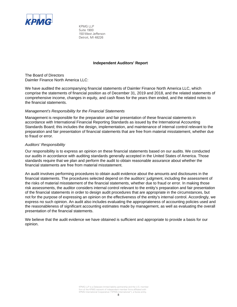<span id="page-7-0"></span>

KPMG LLP Suite 1900 150 West Jefferson Detroit, MI 48226

#### **Independent Auditors' Report**

The Board of Directors Daimler Finance North America LLC:

We have audited the accompanying financial statements of Daimler Finance North America LLC, which comprise the statements of financial position as of December 31, 2019 and 2018, and the related statements of comprehensive income, changes in equity, and cash flows for the years then ended, and the related notes to the financial statements.

#### *Management's Responsibility for the Financial Statements*

Management is responsible for the preparation and fair presentation of these financial statements in accordance with International Financial Reporting Standards as issued by the International Accounting Standards Board; this includes the design, implementation, and maintenance of internal control relevant to the preparation and fair presentation of financial statements that are free from material misstatement, whether due to fraud or error.

#### *Auditors' Responsibility*

Our responsibility is to express an opinion on these financial statements based on our audits. We conducted our audits in accordance with auditing standards generally accepted in the United States of America. Those standards require that we plan and perform the audit to obtain reasonable assurance about whether the financial statements are free from material misstatement.

An audit involves performing procedures to obtain audit evidence about the amounts and disclosures in the financial statements. The procedures selected depend on the auditors' judgment, including the assessment of the risks of material misstatement of the financial statements, whether due to fraud or error. In making those risk assessments, the auditor considers internal control relevant to the entity's preparation and fair presentation of the financial statements in order to design audit procedures that are appropriate in the circumstances, but not for the purpose of expressing an opinion on the effectiveness of the entity's internal control. Accordingly, we express no such opinion. An audit also includes evaluating the appropriateness of accounting policies used and the reasonableness of significant accounting estimates made by management, as well as evaluating the overall presentation of the financial statements.

We believe that the audit evidence we have obtained is sufficient and appropriate to provide a basis for our opinion.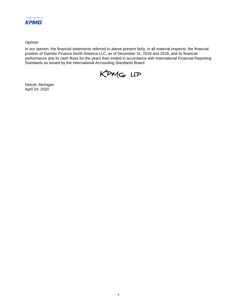

*Opinion*

In our opinion, the financial statements referred to above present fairly, in all material respects, the financial position of Daimler Finance North America LLC, as of December 31, 2019 and 2018, and its financial performance and its cash flows for the years then ended in accordance with International Financial Reporting Standards as issued by the International Accounting Standards Board.



Detroit, Michigan April 24, 2020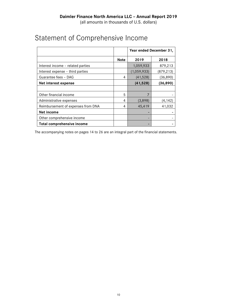|                                    |             | Year ended December 31, |            |  |
|------------------------------------|-------------|-------------------------|------------|--|
|                                    | <b>Note</b> | 2019                    | 2018       |  |
| Interest income - related parties  |             | 1,059,933               | 879,213    |  |
| Interest expense – third parties   |             | (1,059,933)             | (879, 213) |  |
| Guarantee fees - DAG               | 4           | (41, 528)               | (36,890)   |  |
| Net interest expense               |             | (41, 528)               | (36, 890)  |  |
|                                    |             |                         |            |  |
| Other financial income             | 5           | 7                       |            |  |
| Administrative expenses            | 4           | (3,898)                 | (4, 142)   |  |
| Reimbursement of expenses from DNA | 4           | 45,419                  | 41,032     |  |
| <b>Net income</b>                  |             |                         |            |  |
| Other comprehensive income         |             |                         |            |  |
| Total comprehensive income         |             |                         |            |  |

# <span id="page-9-0"></span>Statement of Comprehensive Income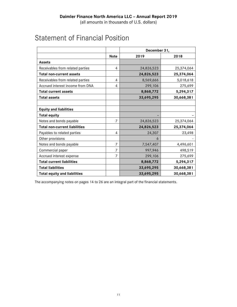<span id="page-10-0"></span>

|                                      |             | December 31, |            |  |
|--------------------------------------|-------------|--------------|------------|--|
|                                      | <b>Note</b> | 2019         | 2018       |  |
| <b>Assets</b>                        |             |              |            |  |
| Receivables from related parties     | 4           | 24,826,523   | 25,374,064 |  |
| <b>Total non-current assets</b>      |             | 24,826,523   | 25,374,064 |  |
| Receivables from related parties     | 4           | 8,569,666    | 5,018,618  |  |
| Accrued interest income from DNA     | 4           | 299,106      | 275,699    |  |
| <b>Total current assets</b>          |             | 8,868,772    | 5,294,317  |  |
| <b>Total assets</b>                  |             | 33,695,295   | 30,668,381 |  |
|                                      |             |              |            |  |
| <b>Equity and liabilities</b>        |             |              |            |  |
| <b>Total equity</b>                  |             |              |            |  |
| Notes and bonds payable              | 7           | 24,826,523   | 25,374,064 |  |
| <b>Total non-current liabilities</b> |             | 24,826,523   | 25,374,064 |  |
| Payables to related parties          | 4           | 24,307       | 23,498     |  |
| Other provisions                     |             | 6            |            |  |
| Notes and bonds payable              | 7           | 7,547,407    | 4,496,601  |  |
| Commercial paper                     | 7           | 997,946      | 498,519    |  |
| Accrued interest expense             | 7           | 299,106      | 275,699    |  |
| <b>Total current liabilities</b>     |             | 8,868,772    | 5,294,317  |  |
| <b>Total liabilities</b>             |             | 33,695,295   | 30,668,381 |  |
| <b>Total equity and liabilities</b>  |             | 33,695,295   | 30,668,381 |  |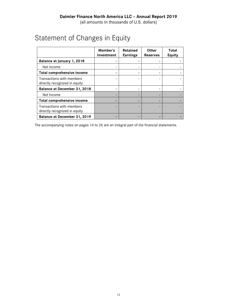# <span id="page-11-0"></span>Statement of Changes in Equity

|                                                            | Member's<br>Investment | Retained<br><b>Earnings</b> | <b>Other</b><br><b>Reserves</b> | Total<br>Equity |
|------------------------------------------------------------|------------------------|-----------------------------|---------------------------------|-----------------|
| Balance at January 1, 2018                                 |                        |                             |                                 |                 |
| Net income                                                 |                        |                             |                                 |                 |
| Total comprehensive income                                 |                        |                             |                                 |                 |
| Transactions with members<br>directly recognized in equity |                        |                             |                                 |                 |
| Balance at December 31, 2018                               |                        |                             |                                 |                 |
| Net income                                                 |                        |                             |                                 |                 |
| <b>Total comprehensive income</b>                          |                        |                             |                                 |                 |
| Transactions with members<br>directly recognized in equity |                        |                             |                                 |                 |
| Balance at December 31, 2019                               |                        |                             |                                 |                 |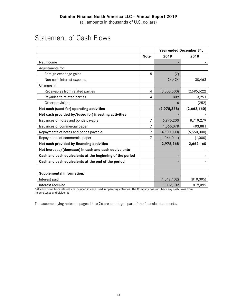# <span id="page-12-0"></span>Statement of Cash Flows

|                                                          |             | Year ended December 31, |               |  |
|----------------------------------------------------------|-------------|-------------------------|---------------|--|
|                                                          | <b>Note</b> | 2019                    | 2018          |  |
| Net income                                               |             |                         |               |  |
| Adjustments for                                          |             |                         |               |  |
| Foreign exchange gains                                   | 5           | (7)                     |               |  |
| Non-cash interest expense                                |             | 24,424                  | 30,463        |  |
| Changes in                                               |             |                         |               |  |
| Receivables from related parties                         | 4           | (3,003,500)             | (2,695,622)   |  |
| Payables to related parties                              | 4           | 809                     | 3,251         |  |
| Other provisions                                         |             | 6                       | (252)         |  |
| Net cash (used for) operating activities                 |             | (2,978,268)             | (2,662,160)   |  |
| Net cash provided by/(used for) investing activities     |             |                         |               |  |
| Issuances of notes and bonds payable                     | 7           | 6,976,200               | 8,719,279     |  |
| Issuances of commercial paper                            | 7           | 1,566,079               | 493,881       |  |
| Repayments of notes and bonds payable                    | 7           | (4,500,000)             | (6, 550, 000) |  |
| Repayments of commercial paper                           | 7           | (1,064,011)             | (1,000)       |  |
| Net cash provided by financing activities                |             | 2,978,268               | 2,662,160     |  |
| Net increase/(decrease) in cash and cash equivalents     |             |                         |               |  |
| Cash and cash equivalents at the beginning of the period |             |                         |               |  |
| Cash and cash equivalents at the end of the period       |             |                         |               |  |
|                                                          |             |                         |               |  |
| Supplemental information: <sup>1</sup>                   |             |                         |               |  |
| Interest paid                                            |             | (1,012,102)             | (819, 095)    |  |
| Interest received                                        |             | 1,012,102               | 819,095       |  |

1 All cash flows from interest are included in cash used in operating activities. The Company does not have any cash flows from income taxes and dividends.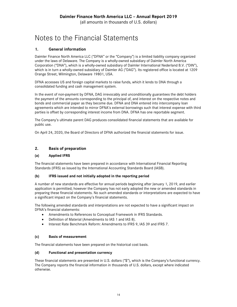# <span id="page-13-0"></span>Notes to the Financial Statements

## <span id="page-13-1"></span>**1. General information**

Daimler Finance North America LLC ("DFNA" or the "Company") is a limited liability company organized under the laws of Delaware. The Company is a wholly-owned subsidiary of Daimler North America Corporation ("DNA"), which is a wholly-owned subsidiary of Daimler International Nederland B.V. ("DIN"), which is in turn a wholly-owned subsidiary of Daimler AG ("DAG"). Its registered office is located at 1209 Orange Street, Wilmington, Delaware 19801, USA.

DFNA accesses US and foreign capital markets to raise funds, which it lends to DNA through a consolidated funding and cash management system.

In the event of non-payment by DFNA, DAG irrevocably and unconditionally guarantees the debt holders the payment of the amounts corresponding to the principal of, and interest on the respective notes and bonds and commercial paper as they become due. DFNA and DNA entered into intercompany loan agreements which are intended to mirror DFNA's external borrowings such that interest expense with third parties is offset by corresponding interest income from DNA. DFNA has one reportable segment.

The Company's ultimate parent DAG produces consolidated financial statements that are available for public use.

On April 24, 2020, the Board of Directors of DFNA authorized the financial statements for issue.

### <span id="page-13-2"></span>**2. Basis of preparation**

#### **(a) Applied IFRS**

The financial statements have been prepared in accordance with International Financial Reporting Standards (IFRS) as issued by the International Accounting Standards Board (IASB).

#### **(b) IFRS issued and not initially adopted in the reporting period**

A number of new standards are effective for annual periods beginning after January 1, 2019, and earlier application is permitted; however the Company has not early adopted the new or amended standards in preparing these financial statements. No such amended standards or interpretations are expected to have a significant impact on the Company's financial statements.

The following amended standards and interpretations are not expected to have a significant impact on DFNA's financial statements:

- Amendments to References to Conceptual Framework in IFRS Standards.
- Definition of Material (Amendments to IAS 1 and IAS 8).
- Interest Rate Benchmark Reform: Amendments to IFRS 9, IAS 39 and IFRS 7.

#### **(c) Basis of measurement**

The financial statements have been prepared on the historical cost basis.

#### **(d) Functional and presentation currency**

These financial statements are presented in U.S. dollars ("\$"), which is the Company's functional currency. The Company reports the financial information in thousands of U.S. dollars, except where indicated otherwise.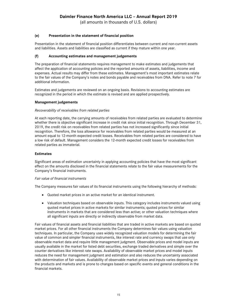(all amounts in thousands of U.S. dollars)

#### **(e) Presentation in the statement of financial position**

Presentation in the statement of financial position differentiates between current and non-current assets and liabilities. Assets and liabilities are classified as current if they mature within one year.

#### **(f) Accounting estimates and management judgements**

The preparation of financial statements requires management to make estimates and judgements that affect the application of accounting policies and the reported amounts of assets, liabilities, income and expenses. Actual results may differ from these estimates. Management's most important estimates relate to the fair values of the Company's notes and bonds payable and receivables from DNA. Refer to note 7 for additional information.

Estimates and judgements are reviewed on an ongoing basis. Revisions to accounting estimates are recognized in the period in which the estimate is revised and are applied prospectively.

#### **Management judgements**

#### *Recoverability of receivables from related parties*

At each reporting date, the carrying amounts of receivables from related parties are evaluated to determine whether there is objective significant increase in credit risk since initial recognition. Through December 31, 2019, the credit risk on receivables from related parties has not increased significantly since initial recognition. Therefore, the loss allowance for receivables from related parties would be measured at an amount equal to 12-month expected credit losses. Receivables from related parties are considered to have a low risk of default. Management considers the 12-month expected credit losses for receivables from related parties as immaterial.

#### **Estimates**

Significant areas of estimation uncertainty in applying accounting policies that have the most significant effect on the amounts disclosed in the financial statements relate to the fair value measurements for the Company's financial instruments.

#### *Fair value of financial instruments*

The Company measures fair values of its financial instruments using the following hierarchy of methods:

- Quoted market prices in an active market for an identical instrument.
- Valuation techniques based on observable inputs. This category includes instruments valued using quoted market prices in active markets for similar instruments; quoted prices for similar instruments in markets that are considered less than active; or other valuation techniques where all significant inputs are directly or indirectly observable from market data.

Fair values of financial assets and financial liabilities that are traded in active markets are based on quoted market prices. For all other financial instruments the Company determines fair values using valuation techniques. In particular, the Company uses widely recognized valuation models for determining the fair value of common and simpler financial instruments, like interest rate and currency swaps that use only observable market data and require little management judgment. Observable prices and model inputs are usually available in the market for listed debt securities, exchange traded derivatives and simple over the counter derivatives like interest rate swaps. Availability of observable market prices and model inputs reduces the need for management judgment and estimation and also reduces the uncertainty associated with determination of fair values. Availability of observable market prices and inputs varies depending on the products and markets and is prone to changes based on specific events and general conditions in the financial markets.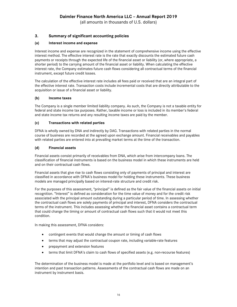(all amounts in thousands of U.S. dollars)

### <span id="page-15-0"></span>**3. Summary of significant accounting policies**

#### **(a) Interest income and expense**

Interest income and expense are recognized in the statement of comprehensive income using the effective interest method. The effective interest rate is the rate that exactly discounts the estimated future cash payments or receipts through the expected life of the financial asset or liability (or, where appropriate, a shorter period) to the carrying amount of the financial asset or liability. When calculating the effective interest rate, the Company estimates future cash flows considering all contractual terms of the financial instrument, except future credit losses.

The calculation of the effective interest rate includes all fees paid or received that are an integral part of the effective interest rate. Transaction costs include incremental costs that are directly attributable to the acquisition or issue of a financial asset or liability.

#### **(b) Income taxes**

The Company is a single member limited liability company. As such, the Company is not a taxable entity for federal and state income tax purposes. Rather, taxable income or loss is included in its member's federal and state income tax returns and any resulting income taxes are paid by the member.

#### **(c) Transactions with related parties**

DFNA is wholly owned by DNA and indirectly by DAG. Transactions with related parties in the normal course of business are recorded at the agreed upon exchange amount. Financial receivables and payables with related parties are entered into at prevailing market terms at the time of the transaction.

#### **(d) Financial assets**

Financial assets consist primarily of receivables from DNA, which arise from intercompany loans. The classification of financial instruments is based on the business model in which these instruments are held and on their contractual cash flows.

Financial assets that give rise to cash flows consisting only of payments of principal and interest are classified in accordance with DFNA's business model for holding these instruments. These business models are managed principally based on interest-rate structure and credit risk.

For the purposes of this assessment, "principal" is defined as the fair value of the financial assets on initial recognition. "Interest" is defined as consideration for the time value of money and for the credit risk associated with the principal amount outstanding during a particular period of time. In assessing whether the contractual cash flows are solely payments of principal and interest, DFNA considers the contractual terms of the instrument. This includes assessing whether the financial asset contains a contractual term that could change the timing or amount of contractual cash flows such that it would not meet this condition.

In making this assessment, DFNA considers:

- contingent events that would change the amount or timing of cash flows
- terms that may adjust the contractual coupon rate, including variable-rate features
- prepayment and extension features
- terms that limit DFNA's claim to cash flows of specified assets (e.g. non-recourse features)

The determination of the business model is made at the portfolio level and is based on management's intention and past transaction patterns. Assessments of the contractual cash flows are made on an instrument by instrument basis.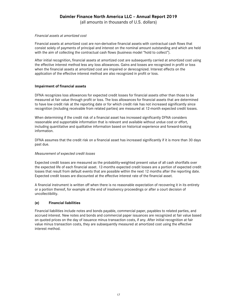(all amounts in thousands of U.S. dollars)

#### *Financial assets at amortized cost*

Financial assets at amortized cost are non-derivative financial assets with contractual cash flows that consist solely of payments of principal and interest on the nominal amount outstanding and which are held with the aim of collecting the contractual cash flows (business model "hold to collect").

After initial recognition, financial assets at amortized cost are subsequently carried at amortized cost using the effective interest method less any loss allowances. Gains and losses are recognized in profit or loss when the financial assets at amortized cost are impaired or derecognized. Interest effects on the application of the effective interest method are also recognized in profit or loss.

#### **Impairment of financial assets**

DFNA recognizes loss allowances for expected credit losses for financial assets other than those to be measured at fair value through profit or loss. The loss allowances for financial assets that are determined to have low credit risk at the reporting date or for which credit risk has not increased significantly since recognition (including receivable from related parties) are measured at 12-month expected credit losses.

When determining if the credit risk of a financial asset has increased significantly DFNA considers reasonable and supportable information that is relevant and available without undue cost or effort, including quantitative and qualitative information based on historical experience and forward-looking information.

DFNA assumes that the credit risk on a financial asset has increased significantly if it is more than 30 days past due.

#### *Measurement of expected credit losses*

Expected credit losses are measured as the probability-weighted present value of all cash shortfalls over the expected life of each financial asset. 12-months expected credit losses are a portion of expected credit losses that result from default events that are possible within the next 12 months after the reporting date. Expected credit losses are discounted at the effective interest rate of the financial asset.

A financial instrument is written off when there is no reasonable expectation of recovering it in its entirety or a portion thereof, for example at the end of insolvency proceedings or after a court decision of uncollectibility.

#### **(e) Financial liabilities**

Financial liabilities include notes and bonds payable, commercial paper, payables to related parties, and accrued interest. New notes and bonds and commercial paper issuances are recognized at fair value based on quoted prices on the day of issuance minus transaction costs, if any. After initial recognition at fair value minus transaction costs, they are subsequently measured at amortized cost using the effective interest method.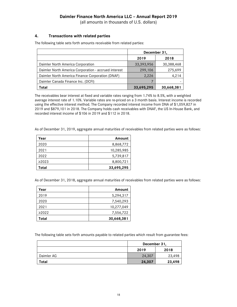(all amounts in thousands of U.S. dollars)

#### <span id="page-17-0"></span>**4. Transactions with related parties**

The following table sets forth amounts receivable from related parties:

|                                                      | December 31, |            |
|------------------------------------------------------|--------------|------------|
|                                                      | 2019         | 2018       |
| Daimler North America Corporation                    | 33,393,956   | 30,388,468 |
| Daimler North America Corporation - accrued interest | 299,106      | 275,699    |
| Daimler North America Finance Corporation (DNAF)     | 2,226        | 4,214      |
| Daimler Canada Finance Inc. (DCFI)                   |              |            |
| Total                                                | 33,695,295   | 30,668,381 |

The receivables bear interest at fixed and variable rates ranging from 1.74% to 8.5%, with a weighted average interest rate of 1.10%. Variable rates are re-priced on a 3 month basis. Interest income is recorded using the effective interest method. The Company recorded interest income from DNA of \$1,059,827 in 2019 and \$879,101 in 2018. The Company holds cash receivables with DNAF, the US In-House Bank, and recorded interest income of \$106 in 2019 and \$112 in 2018.

As of December 31, 2019, aggregate annual maturities of receivables from related parties were as follows:

| Year        | Amount     |
|-------------|------------|
| 2020        | 8,868,772  |
| 2021        | 10,285,985 |
| 2022        | 5,739,817  |
| $\geq$ 2023 | 8,800,721  |
| Total       | 33,695,295 |

As of December 31, 2018, aggregate annual maturities of receivables from related parties were as follows:

| Year        | Amount     |
|-------------|------------|
| 2019        | 5,294,317  |
| 2020        | 7,540,293  |
| 2021        | 10,277,049 |
| $\geq 2022$ | 7,556,722  |
| Total       | 30,668,381 |

The following table sets forth amounts payable to related parties which result from guarantee fees:

|            | December 31, |        |
|------------|--------------|--------|
|            | 2019         | 2018   |
| Daimler AG | 24,307       | 23,498 |
| Total      | 24,307       | 23,498 |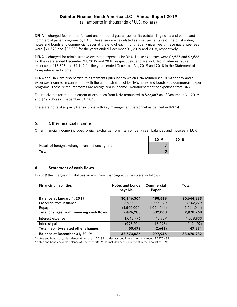(all amounts in thousands of U.S. dollars)

DFNA is charged fees for the full and unconditional guarantees on its outstanding notes and bonds and commercial paper programs by DAG. These fees are calculated as a set percentage of the outstanding notes and bonds and commercial paper at the end of each month at any given year. These guarantee fees were \$41,528 and \$36,890 for the years ended December 31, 2019 and 2018, respectively.

DFNA is charged for administrative overhead expenses by DNA. These expenses were \$2,537 and \$2,683 for the years ended December 31, 2019 and 2018, respectively, and are included in administrative expenses of \$3,898 and \$4,142 for the years ended December 31, 2019 and 2018 in the Statement of Comprehensive Income.

DFNA and DNA are also parties to agreements pursuant to which DNA reimburses DFNA for any and all expenses incurred in connection with the administration of DFNA's notes and bonds and commercial paper programs. These reimbursements are recognized in income - Reimbursement of expenses from DNA.

The receivable for reimbursement of expenses from DNA amounted to \$22,087 as of December 31, 2019 and \$19,285 as of December 31, 2018.

There are no related party transactions with key management personnel as defined in IAS 24.

#### <span id="page-18-0"></span>**5. Other financial income**

Other financial income includes foreign exchange from intercompany cash balances and invoices in EUR:

|                                                 | 2019 | 2018 |
|-------------------------------------------------|------|------|
| Result of foreign exchange transactions - gains |      |      |
| Total                                           |      |      |

#### <span id="page-18-1"></span>**6. Statement of cash flows**

In 2019 the changes in liabilities arising from financing activities were as follows.

| <b>Financing liabilities</b>              | Notes and bonds<br>payable | <b>Commercial</b><br>Paper | Total       |
|-------------------------------------------|----------------------------|----------------------------|-------------|
| Balance at January 1, 2019 <sup>1</sup>   | 30,146,364                 | 498,519                    | 30,644,883  |
| Proceeds from Issuance                    | 6,976,200                  | 1,566,079                  | 8,542,279   |
| Repayments                                | (4,500,000)                | (1,064,011)                | (5,564,011) |
| Total changes from financing cash flows   | 2,476,200                  | 502,068                    | 2,978,268   |
| Interest expense                          | 1,043,976                  | 15,957                     | 1,059,933   |
| Interest paid                             | (993, 504)                 | (18, 598)                  | (1,012,102) |
| Total liability-related other changes     | 50,472                     | (2,641)                    | 47,831      |
| Balance at December 31, 2019 <sup>2</sup> | 32,673,036                 | 997,946                    | 33,670,982  |

<sup>1</sup> Notes and bonds payable balance at January 1, 2019 includes accrued interest in the amount of \$275,699. <sup>2</sup> Notes and bonds payable balance at December 31, 2019 includes accrued interest in the amount of \$299,106.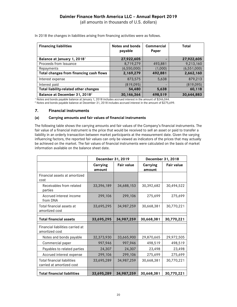(all amounts in thousands of U.S. dollars)

| <b>Financing liabilities</b>              | <b>Notes and bonds</b><br>payable | Commercial<br>Paper | Total         |
|-------------------------------------------|-----------------------------------|---------------------|---------------|
| Balance at January 1, 2018 <sup>1</sup>   | 27,922,605                        |                     | 27,922,605    |
| Proceeds from Issuance                    | 8,719,279                         | 493,881             | 9,213,160     |
| Repayments                                | (6, 550, 000)                     | (1,000)             | (6, 551, 000) |
| Total changes from financing cash flows   | 2,169,279                         | 492,881             | 2,662,160     |
| Interest expense                          | 873,575                           | 5,638               | 879,213       |
| Interest paid                             | (819, 095)                        |                     | (819,095)     |
| Total liability-related other changes     | 54,480                            | 5,638               | 60,118        |
| Balance at December 31, 2018 <sup>2</sup> | 30, 146, 364                      | 498,519             | 30,644,883    |

In 2018 the changes in liabilities arising from financing activities were as follows.

<sup>1</sup> Notes and bonds payable balance at January 1, 2018 includes accrued interest in the amount of \$246,044. <sup>2</sup> Notes and bonds payable balance at December 31, 2018 includes accrued interest in the amount of \$275,699.

#### <span id="page-19-0"></span>**7. Financial instruments**

#### **(a) Carrying amounts and fair values of financial instruments**

The following table shows the carrying amounts and fair values of the Company's financial instruments. The fair value of a financial instrument is the price that would be received to sell an asset or paid to transfer a liability in an orderly transaction between market participants at the measurement date. Given the varying influencing factors, the reported fair values can only be viewed as indicators of the prices that may actually be achieved on the market. The fair values of financial instruments were calculated on the basis of market information available on the balance sheet date.

|                                                                 | December 31, 2019         |                   | December 31, 2018  |                   |  |
|-----------------------------------------------------------------|---------------------------|-------------------|--------------------|-------------------|--|
|                                                                 | <b>Carrying</b><br>amount | <b>Fair value</b> | Carrying<br>amount | <b>Fair value</b> |  |
| Financial assets at amortized<br>cost                           |                           |                   |                    |                   |  |
| Receivables from related<br>parties                             | 33,396,189                | 34,688,153        | 30,392,682         | 30,494,522        |  |
| Accrued interest income<br>from DNA                             | 299,106                   | 299,106           | 275,699            | 275,699           |  |
| Total financial assets at<br>amortized cost                     | 33,695,295                | 34,987,259        | 30,668,381         | 30,770,221        |  |
| <b>Total financial assets</b>                                   | 33,695,295                | 34,987,259        | 30,668,381         | 30,770,221        |  |
| Financial liabilities carried at<br>amortized cost              |                           |                   |                    |                   |  |
| Notes and bonds payable                                         | 32,373,930                | 33,665,900        | 29,870,665         | 29,972,505        |  |
| Commercial paper                                                | 997,946                   | 997,946           | 498,519            | 498,519           |  |
| Payables to related parties                                     | 24,307                    | 24,307            | 23,498             | 23,498            |  |
| Accrued interest expense                                        | 299,106                   | 299,106           | 275,699            | 275,699           |  |
| <b>Total financial liabilities</b><br>carried at amortized cost | 33,695,289                | 34,987,259        | 30,668,381         | 30,770,221        |  |
| <b>Total financial liabilities</b>                              | 33,695,289                | 34,987,259        | 30,668,381         | 30,770,221        |  |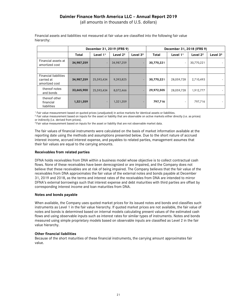(all amounts in thousands of U.S. dollars)

|                                                              | December 31, 2019 (IFRS 9) |                          |            | December 31, 2018 (IFRS 9) |              |                          |                      |            |
|--------------------------------------------------------------|----------------------------|--------------------------|------------|----------------------------|--------------|--------------------------|----------------------|------------|
|                                                              | <b>Total</b>               | Level $11$               | Level $22$ | Level $33$                 | <b>Total</b> | Level $11$               | Level 2 <sup>2</sup> | Level $33$ |
| Financial assets at<br>amortized cost                        | 34,987,259                 | $\overline{\phantom{a}}$ | 34,987,259 | $\overline{\phantom{a}}$   | 30,770,221   | $\overline{\phantom{a}}$ | 30,770,221           |            |
|                                                              |                            |                          |            |                            |              |                          |                      |            |
| <b>Financial liabilities</b><br>carried at<br>amortized cost | 34,987,259                 | 25,593,434               | 9,393,825  | $\overline{\phantom{a}}$   | 30,770,221   | 28,059,728               | 2,710,493            |            |
| thereof notes<br>and bonds                                   | 33,665,900                 | 25,593,434               | 8,072,466  |                            | 29,972,505   | 28,059,728               | 1,912,777            |            |
| thereof other<br>financial<br>liabilities                    | 1,321,359                  | $ \,$                    | 1,321,359  | $\overline{\phantom{0}}$   | 797,716      | $\overline{\phantom{a}}$ | 797,716              |            |

Financial assets and liabilities not measured at fair value are classified into the following fair value hierarchy:

<sup>1</sup> Fair value measurement based on quoted prices (unadjusted) in active markets for identical assets or liabilities.

<sup>2</sup> Fair value measurement based on inputs for the asset or liability that are observable on active markets either directly (i.e. as prices) or indirectly (i.e. derived from prices).

<sup>3</sup> Fair value measurement based on inputs for the asset or liability that are not observable market data.

The fair values of financial instruments were calculated on the basis of market information available at the reporting date using the methods and assumptions presented below. Due to the short nature of accrued interest income, accrued interest expense, and payables to related parties, management assumes that their fair values are equal to the carrying amounts.

#### **Receivables from related parties**

DFNA holds receivables from DNA within a business model whose objective is to collect contractual cash flows. None of these receivables have been derecognized or are impaired, and the Company does not believe that these receivables are at risk of being impaired. The Company believes that the fair value of the receivables from DNA approximates the fair value of the external notes and bonds payable at December 31, 2019 and 2018, as the terms and interest rates of the receivables from DNA are intended to mirror DFNA's external borrowings such that interest expense and debt maturities with third parties are offset by corresponding interest income and loan maturities from DNA.

#### **Notes and bonds payable**

When available, the Company uses quoted market prices for its issued notes and bonds and classifies such instruments as Level 1 in the fair value hierarchy. If quoted market prices are not available, the fair value of notes and bonds is determined based on internal models calculating present values of the estimated cash flows and using observable inputs such as interest rates for similar types of instruments. Notes and bonds measured using simple proprietary models based on observable inputs are classified as Level 2 in the fair value hierarchy.

#### **Other financial liabilities**

Because of the short maturities of these financial instruments, the carrying amount approximates fair value.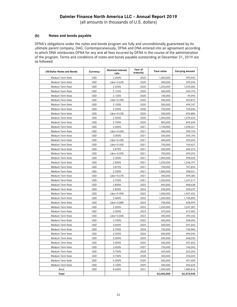(all amounts in thousands of U.S. dollars)

#### **(b) Notes and bonds payable**

DFNA's obligations under the notes and bonds program are fully and unconditionally guaranteed by its ultimate parent company, DAG. Contemporaneously, DFNA and DNA entered into an agreement according to which DNA reimburses DFNA for any and all fees incurred by DFNA in the course of the administration of the program. Terms and conditions of notes and bonds payable outstanding at December 31, 2019 are as followed:

| <b>US-Dollar Notes and Bonds</b> | Currency   | <b>Nominal interest</b><br>rate | Year of<br>maturity | Face value | <b>Carrying amount</b> |
|----------------------------------|------------|---------------------------------|---------------------|------------|------------------------|
| Medium Term Note                 | <b>USD</b> | 2.300%                          | 2020                | 1,000,000  | 999,920                |
| Medium Term Note                 | <b>USD</b> | Libor+0.63%                     | 2020                | 400,000    | 399,996                |
| Medium Term Note                 | <b>USD</b> | 2.250%                          | 2020                | 1,250,000  | 1,249,685              |
| Medium Term Note                 | <b>USD</b> | 2.125%                          | 2020                | 400,000    | 399,793                |
| Medium Term Note                 | <b>USD</b> | 2.125%                          | 2020                | 100,000    | 99.993                 |
| Medium Term Note                 | <b>USD</b> | Libor+0.39%                     | 2020                | 500,000    | 499,872                |
| Medium Term Note                 | <b>USD</b> | 3.100%                          | 2020                | 500,000    | 499,747                |
| Medium Term Note                 | <b>USD</b> | 2.200%                          | 2020                | 750,000    | 749.646                |
| Medium Term Note                 | <b>USD</b> | Libor+0.53%                     | 2020                | 500,000    | 499,885                |
| Medium Term Note                 | <b>USD</b> | 2.450%                          | 2020                | 1.300.000  | 1,299,423              |
| Medium Term Note                 | <b>USD</b> | 2.700%                          | 2020                | 850,000    | 849,449                |
| Medium Term Note                 | <b>USD</b> | 2.300%                          | 2021                | 1,100,000  | 1,098,321              |
| Medium Term Note                 | <b>USD</b> | Libor+0.43%                     | 2021                | 400,000    | 399,724                |
| Medium Term Note                 | <b>USD</b> | 3.000%                          | 2021                | 550,000    | 549,190                |
| Medium Term Note                 | <b>USD</b> | Libor+0.45%                     | 2021                | 400,000    | 399,694                |
| Medium Term Note                 | <b>USD</b> | Libor+0.45%                     | 2021                | 750,000    | 749,427                |
| Medium Term Note                 | <b>USD</b> | 2.875%                          | 2021                | 650,000    | 649,373                |
| Medium Term Note                 | <b>USD</b> | Libor+0.55%                     | 2021                | 700,000    | 699,374                |
| Medium Term Note                 | <b>USD</b> | 3.350%                          | 2021                | 1,000,000  | 998,420                |
| Medium Term Note                 | <b>USD</b> | 2.000%                          | 2021                | 1,250,000  | 1,248,797              |
| Medium Term Note                 | <b>USD</b> | 3.875%                          | 2021                | 750,000    | 747,833                |
| Medium Term Note                 | <b>USD</b> | 2.200%                          | 2021                | 1.000.000  | 998,931                |
| Medium Term Note                 | <b>USD</b> | Libor+0.67%                     | 2021                | 500,000    | 499,384                |
| Medium Term Note                 | <b>USD</b> | 3.750%                          | 2021                | 1,250,000  | 1,247,517              |
| Medium Term Note                 | <b>USD</b> | 2.850%                          | 2022                | 850,000    | 848,638                |
| Medium Term Note                 | <b>USD</b> | 2.850%                          | 2022                | 250,000    | 250,637                |
| Medium Term Note                 | <b>USD</b> | Libor+0.90%                     | 2022                | 1,500,000  | 1,497,452              |
| Medium Term Note                 | <b>USD</b> | 3.400%                          | 2022                | 1,200,000  | 1,196,803              |
| Medium Term Note                 | <b>USD</b> | Libor+0.88%                     | 2022                | 700,000    | 698,999                |
| Medium Term Note                 | <b>USD</b> | 2.550%                          | 2022                | 1,250,000  | 1,247,287              |
| Medium Term Note                 | <b>USD</b> | 3.350%                          | 2023                | 675,000    | 672,982                |
| Medium Term Note                 | <b>USD</b> | Libor+0.84%                     | 2023                | 400,000    | 399,332                |
| Medium Term Note                 | <b>USD</b> | 3.700%                          | 2023                | 600,000    | 598.096                |
| Medium Term Note                 | <b>USD</b> | 3.650%                          | 2024                | 600,000    | 597,443                |
| Medium Term Note                 | <b>USD</b> | 2.700%                          | 2024                | 750,000    | 746,982                |
| Medium Term Note                 | <b>USD</b> | 3.250%                          | 2024                | 500,000    | 496,940                |
| Medium Term Note                 | <b>USD</b> | 3.300%                          | 2025                | 650,000    | 648,030                |
| Medium Term Note                 | USD        | 3.500%                          | 2025                | 500,000    | 497,653                |
| Medium Term Note                 | <b>USD</b> | 3.450%                          | 2027                | 750,000    | 746,042                |
| Medium Term Note                 | <b>USD</b> | 3.750%                          | 2028                | 625,000    | 623,334                |
| Medium Term Note                 | <b>USD</b> | 3.750%                          | 2028                | 300,000    | 294,035                |
| Medium Term Note                 | <b>USD</b> | 4.300%                          | 2029                | 500,000    | 497,400                |
| Medium Term Note                 | <b>USD</b> | 3.100%                          | 2029                | 500,000    | 496,635                |
| Bond                             | <b>USD</b> | 8.500%                          | 2031                | 1,500,000  | 1,485,816              |
| Total                            |            |                                 |                     | 32,450,000 | 32,373,930             |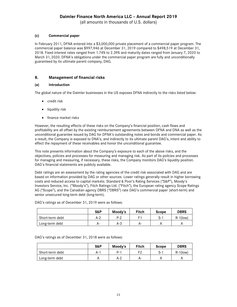(all amounts in thousands of U.S. dollars)

#### **(c) Commercial paper**

In February 2011, DFNA entered into a \$3,000,000 private placement of a commercial paper program. The commercial paper balance was \$997,946 at December 31, 2019 compared to \$498,519 at December 31, 2018. Fixed interest rates ranged from 1.74% to 2.39% and maturity dates ranged from January 7, 2020 to March 31, 2020. DFNA's obligations under the commercial paper program are fully and unconditionally guaranteed by its ultimate parent company, DAG.

#### <span id="page-22-0"></span>**8. Management of financial risks**

#### **(a) Introduction**

The global nature of the Daimler businesses in the US exposes DFNA indirectly to the risks listed below:

- credit risk
- liquidity risk
- finance market risks

However, the resulting effects of these risks on the Company's financial position, cash flows and profitability are all offset by the existing reimbursement agreements between DFNA and DNA as well as the unconditional guarantee issued by DAG for DFNA's outstanding notes and bonds and commercial paper. As a result, the Company is exposed to DNA's, and indirectly to its ultimate parent DAG's, intent and ability to effect the repayment of these receivables and honor the unconditional guarantee.

This note presents information about the Company's exposure to each of the above risks, and the objectives, policies and processes for measuring and managing risk. As part of its policies and processes for managing and measuring, if necessary, these risks, the Company monitors DAG's liquidity position. DAG's financial statements are publicly available.

Debt ratings are an assessment by the rating agencies of the credit risk associated with DAG and are based on information provided by DAG or other sources. Lower ratings generally result in higher borrowing costs and reduced access to capital markets. Standard & Poor's Rating Services ("S&P"), Moody's Investors Service, Inc. ("Moody's"), Fitch Ratings Ltd. ("Fitch"), the European rating agency Scope Ratings AG ("Scope"), and the Canadian agency DBRS ("DBRS") rate DAG's commercial paper (short-term) and senior unsecured long-term debt (long-term).

DAG's ratings as of December 31, 2019 were as follows:

|                 | S&P   | Moody's | <b>Fitch</b> | <b>Scope</b> | <b>DBRS</b> |
|-----------------|-------|---------|--------------|--------------|-------------|
| Short-term debt | $A-2$ | $P-2$   |              | ა-           | $R-1$ (low) |
| Long-term debt  | A-    | $A-3$   | A-           |              |             |

DAG's ratings as of December 31, 2018 were as follows:

|                 | S&P  | Moody's | Fitch | <b>Scope</b> | <b>DBRS</b> |
|-----------------|------|---------|-------|--------------|-------------|
| Short-term debt | A- . | $P-1$   | F2    | S-1          | $R-1$ (low) |
| Long-term debt  |      | A-2     | A-    | Α            |             |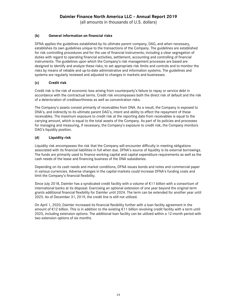(all amounts in thousands of U.S. dollars)

### **(b) General information on financial risks**

DFNA applies the guidelines established by its ultimate parent company, DAG, and when necessary, establishes its own guidelines unique to the transactions of the Company. The guidelines are established for risk controlling procedures and for the use of financial instruments, including a clear segregation of duties with regard to operating financial activities, settlement, accounting and controlling of financial instruments. The guidelines upon which the Company's risk management processes are based are designed to identify and analyze these risks, to set appropriate risk limits and controls and to monitor the risks by means of reliable and up-to-date administrative and information systems. The guidelines and systems are regularly reviewed and adjusted to changes in markets and businesses.

#### **(c) Credit risk**

Credit risk is the risk of economic loss arising from counterparty's failure to repay or service debt in accordance with the contractual terms. Credit risk encompasses both the direct risk of default and the risk of a deterioration of creditworthiness as well as concentration risks.

The Company's assets consist primarily of receivables from DNA. As a result, the Company is exposed to DNA's, and indirectly to its ultimate parent DAG's, intent and ability to effect the repayment of these receivables. The maximum exposure to credit risk at the reporting date from receivables is equal to the carrying amount, which is equal to the total assets of the Company. As part of its policies and processes for managing and measuring, if necessary, the Company's exposure to credit risk, the Company monitors DAG's liquidity position.

#### **(d) Liquidity risk**

Liquidity risk encompasses the risk that the Company will encounter difficulty in meeting obligations associated with its financial liabilities in full when due. DFNA's source of liquidity is its external borrowings. The funds are primarily used to finance working capital and capital expenditure requirements as well as the cash needs of the lease and financing business of the DNA subsidiaries.

Depending on its cash needs and market conditions, DFNA issues bonds and notes and commercial paper in various currencies. Adverse changes in the capital markets could increase DFNA's funding costs and limit the Company's financial flexibility.

Since July 2018, Daimler has a syndicated credit facility with a volume of €11 billion with a consortium of international banks at its disposal. Exercising an optional extension of one year beyond the original term grants additional financial flexibility for Daimler until 2024. The term can be extended for another year until 2025. As of December 31, 2019, the credit line is still not utilized.

On April 1, 2020, Daimler increased its financial flexibility further with a loan facility agreement in the amount of €12 billion. This is in addition to the existing €11 billion revolving credit facility with a term until 2025, including extension options. The additional loan facility can be utilized within a 12-month period with two extension options of six months.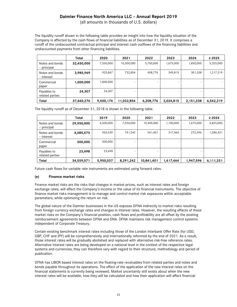(all amounts in thousands of U.S. dollars)

The liquidity runoff shown in the following table provides an insight into how the liquidity situation of the Company is affected by the cash flows of financial liabilities as of December 31, 2019. It comprises a runoff of the undiscounted contractual principal and interest cash outflows of the financing liabilities and undiscounted payments from other financing liabilities.

|                                | Total      | 2020      | 2021                     | 2022                     | 2023      | 2024      | $\geq 2025$ |
|--------------------------------|------------|-----------|--------------------------|--------------------------|-----------|-----------|-------------|
| Notes and bonds<br>- principal | 32,450,000 | 7,550,000 | 10,300,000               | 5,750,000                | 1,675,000 | 1,850,000 | 5,325,000   |
| Notes and bonds<br>- interest  | 3,985,969  | 925,867   | 732,854                  | 458,776                  | 349,815   | 301,338   | 1,217,319   |
| Commercial<br>paper            | 1,000,000  | 1,000,000 |                          | -                        |           |           |             |
| Payables to<br>related parties | 24,307     | 24,307    | $\overline{\phantom{0}}$ | $\overline{\phantom{0}}$ |           |           |             |
| <b>Total</b>                   | 37,460,276 | 9,500,174 | 11,032,854               | 6,208,776                | 2,024,815 | 2,151,338 | 6,542,319   |

The liquidity runoff as of December 31, 2018 is shown in the following table.

|                                | Total      | 2019      | 2020      | 2021       | 2022                     | 2023      | $\geq 2024$ |
|--------------------------------|------------|-----------|-----------|------------|--------------------------|-----------|-------------|
| Notes and bonds<br>- principal | 29,950,000 | 4,500,000 | 7,550,000 | 10,300,000 | 1,100,000                | 1,675,000 | 4,825,000   |
| Notes and bonds<br>- interest  | 4,085,573  | 926,539   | 741,242   | 541,401    | 317,464                  | 272,596   | 1,286,331   |
| Commercial<br>paper            | 500,000    | 500,000   | -         |            | $\overline{\phantom{0}}$ |           |             |
| Payables to<br>related parties | 23,498     | 23,498    | -         | -          |                          |           |             |
| <b>Total</b>                   | 34,559,071 | 5,950,037 | 8,291,242 | 10,841,401 | 1,417,464                | 1,947,596 | 6,111,331   |

Future cash flows for variable rate instruments are estimated using forward rates.

#### **(e) Finance market risks**

Finance market risks are the risks that changes in market prices, such as interest rates and foreign exchange rates, will affect the Company's income or the value of its financial instruments. The objective of finance market risks management is to manage and control market risk exposures within acceptable parameters, while optimizing the return on risk.

The global nature of the Daimler businesses in the US exposes DFNA indirectly to market risks resulting from foreign currency exchange rates and changes in interest rates. However, the resulting effects of these market risks on the Company's financial position, cash flows and profitability are all offset by the existing reimbursement agreements between DFNA and DNA. DFNA maintains risk management control systems independent of Corporate Treasury.

Certain existing benchmark interest rates including those of the London Interbank Offer Rate (for USD, GBP, CHF and JPY) will be comprehensively and internationally reformed by the end of 2021. As a result, those interest rates will be gradually abolished and replaced with alternative risk-free reference rates. Alternative interest rates are being developed on a national level in the context of the respective legal systems and currencies; they can therefore vary with regard to their structure, methodology and period of publication.

DFNA has LIBOR based interest rates on the floating-rate receivables from related parties and notes and bonds payable throughout its operations. The effect of the application of the new interest rates on the financial statements is currently being reviewed. Market uncertainty still exists about when the new interest rates will be available, how they will be calculated and how their application will affect financial